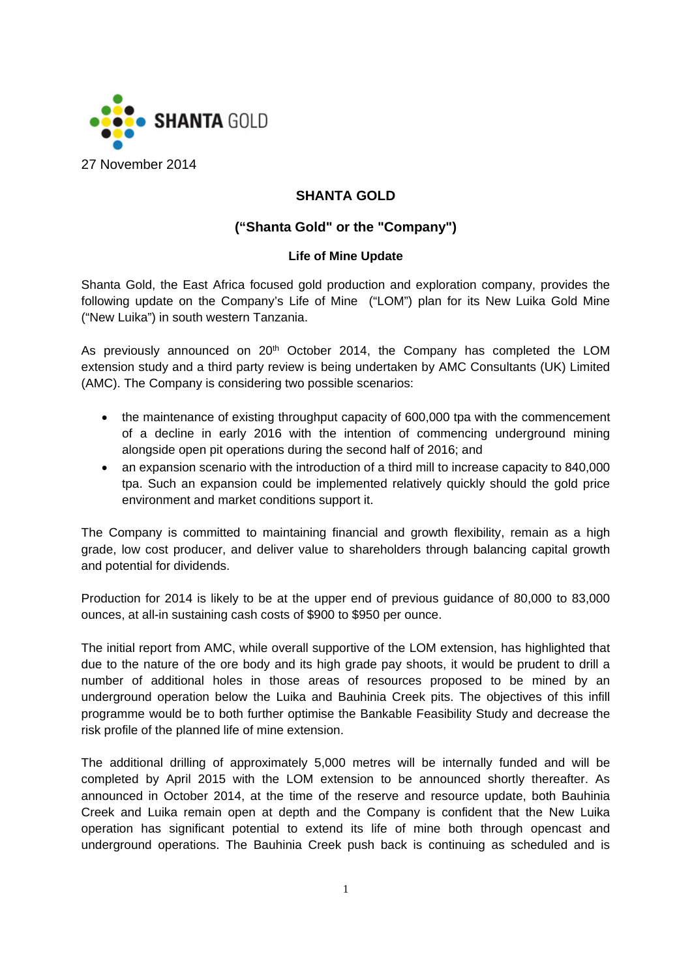

## **SHANTA GOLD**

# **("Shanta Gold" or the "Company")**

#### **Life of Mine Update**

Shanta Gold, the East Africa focused gold production and exploration company, provides the following update on the Company's Life of Mine ("LOM") plan for its New Luika Gold Mine ("New Luika") in south western Tanzania.

As previously announced on  $20<sup>th</sup>$  October 2014, the Company has completed the LOM extension study and a third party review is being undertaken by AMC Consultants (UK) Limited (AMC). The Company is considering two possible scenarios:

- the maintenance of existing throughput capacity of 600,000 tpa with the commencement of a decline in early 2016 with the intention of commencing underground mining alongside open pit operations during the second half of 2016; and
- an expansion scenario with the introduction of a third mill to increase capacity to 840,000 tpa. Such an expansion could be implemented relatively quickly should the gold price environment and market conditions support it.

The Company is committed to maintaining financial and growth flexibility, remain as a high grade, low cost producer, and deliver value to shareholders through balancing capital growth and potential for dividends.

Production for 2014 is likely to be at the upper end of previous guidance of 80,000 to 83,000 ounces, at all-in sustaining cash costs of \$900 to \$950 per ounce.

The initial report from AMC, while overall supportive of the LOM extension, has highlighted that due to the nature of the ore body and its high grade pay shoots, it would be prudent to drill a number of additional holes in those areas of resources proposed to be mined by an underground operation below the Luika and Bauhinia Creek pits. The objectives of this infill programme would be to both further optimise the Bankable Feasibility Study and decrease the risk profile of the planned life of mine extension.

The additional drilling of approximately 5,000 metres will be internally funded and will be completed by April 2015 with the LOM extension to be announced shortly thereafter. As announced in October 2014, at the time of the reserve and resource update, both Bauhinia Creek and Luika remain open at depth and the Company is confident that the New Luika operation has significant potential to extend its life of mine both through opencast and underground operations. The Bauhinia Creek push back is continuing as scheduled and is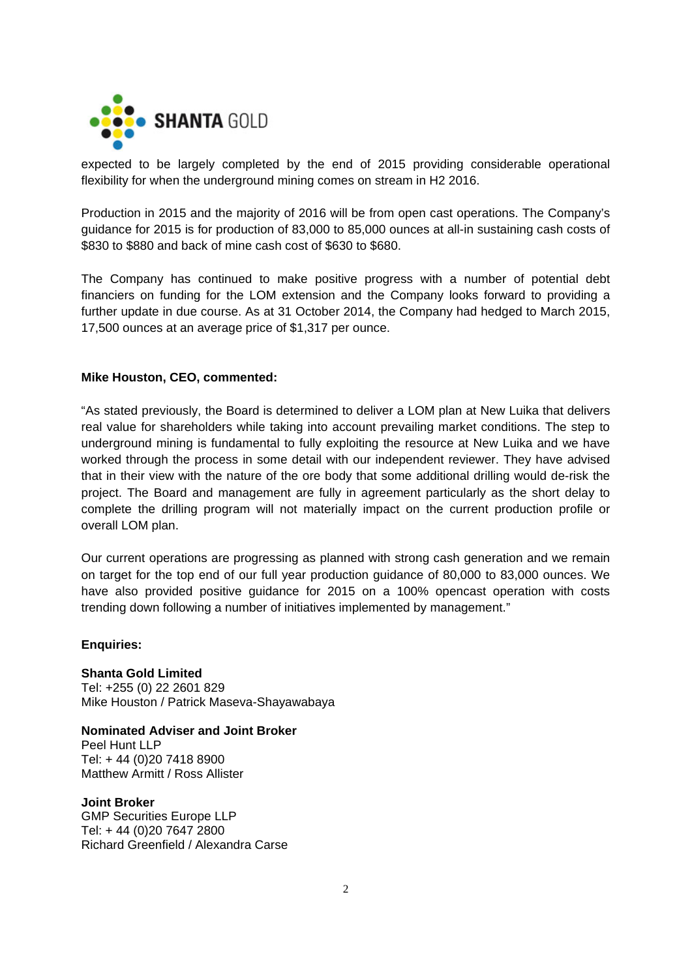

expected to be largely completed by the end of 2015 providing considerable operational flexibility for when the underground mining comes on stream in H2 2016.

Production in 2015 and the majority of 2016 will be from open cast operations. The Company's guidance for 2015 is for production of 83,000 to 85,000 ounces at all-in sustaining cash costs of \$830 to \$880 and back of mine cash cost of \$630 to \$680.

The Company has continued to make positive progress with a number of potential debt financiers on funding for the LOM extension and the Company looks forward to providing a further update in due course. As at 31 October 2014, the Company had hedged to March 2015, 17,500 ounces at an average price of \$1,317 per ounce.

#### **Mike Houston, CEO, commented:**

"As stated previously, the Board is determined to deliver a LOM plan at New Luika that delivers real value for shareholders while taking into account prevailing market conditions. The step to underground mining is fundamental to fully exploiting the resource at New Luika and we have worked through the process in some detail with our independent reviewer. They have advised that in their view with the nature of the ore body that some additional drilling would de-risk the project. The Board and management are fully in agreement particularly as the short delay to complete the drilling program will not materially impact on the current production profile or overall LOM plan.

Our current operations are progressing as planned with strong cash generation and we remain on target for the top end of our full year production guidance of 80,000 to 83,000 ounces. We have also provided positive guidance for 2015 on a 100% opencast operation with costs trending down following a number of initiatives implemented by management."

**Enquiries:** 

**Shanta Gold Limited**  Tel: +255 (0) 22 2601 829 Mike Houston / Patrick Maseva-Shayawabaya

**Nominated Adviser and Joint Broker**  Peel Hunt LLP Tel: + 44 (0)20 7418 8900 Matthew Armitt / Ross Allister

#### **Joint Broker**

GMP Securities Europe LLP Tel: + 44 (0)20 7647 2800 Richard Greenfield / Alexandra Carse